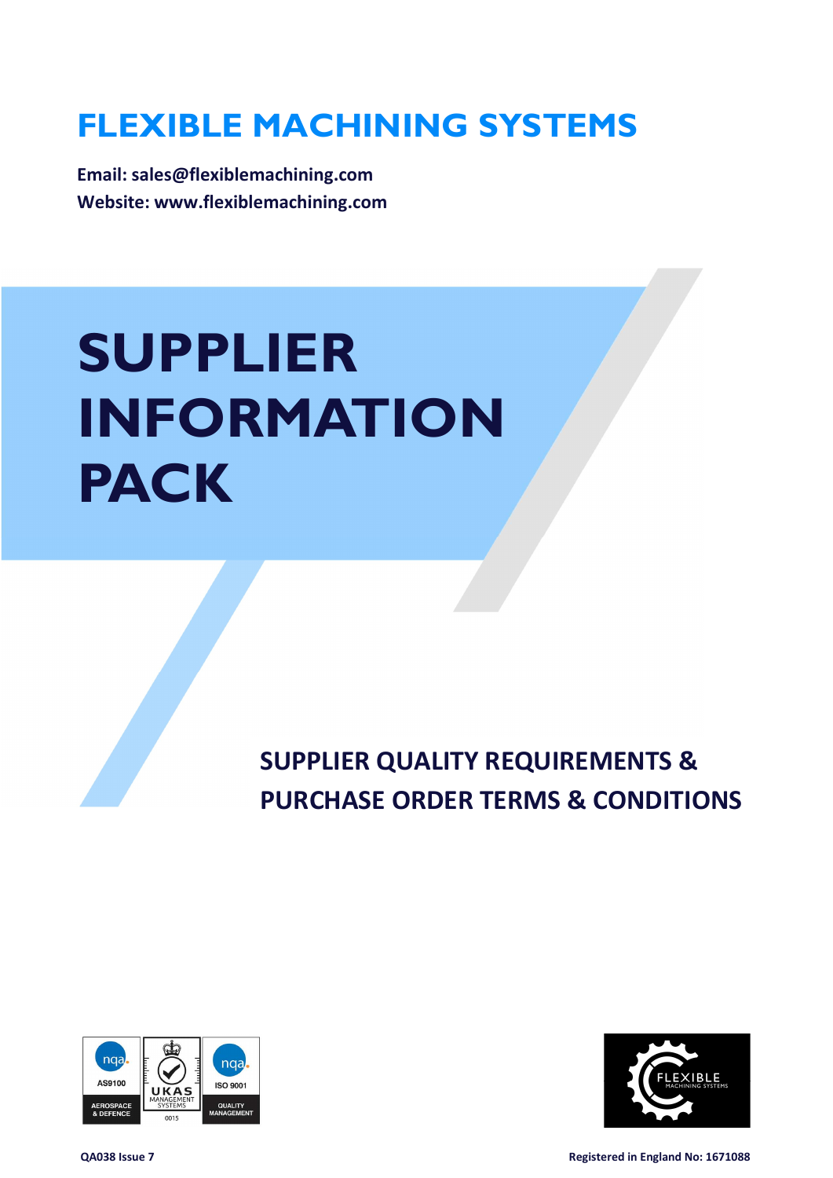# FLEXIBLE MACHINING SYSTEMS

Email: sales@flexiblemachining.com Website: www.flexiblemachining.com

# SUPPLIER INFORMATION PACK

SUPPLIER QUALITY REQUIREMENTS & PURCHASE ORDER TERMS & CONDITIONS





QA038 Issue 7 Registered in England No: 1671088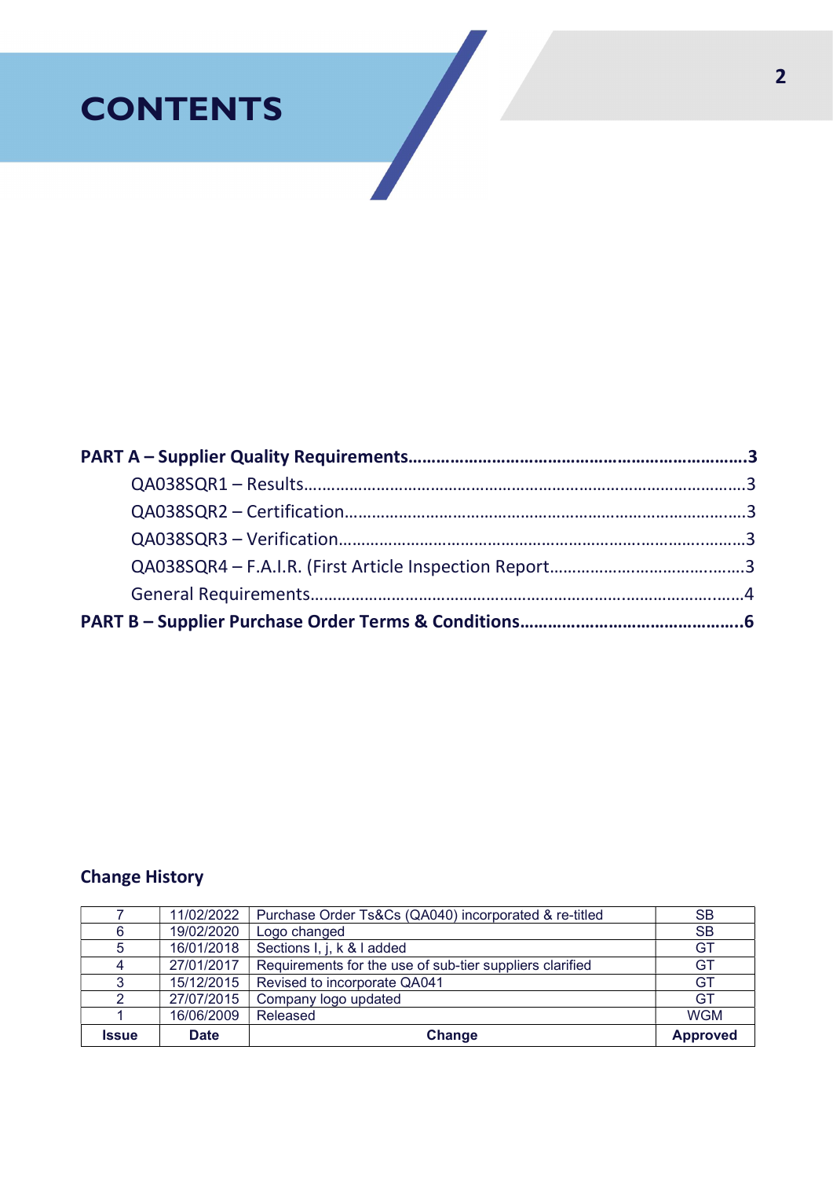# **CONTENTS**

### Change History

|              | 11/02/2022  | Purchase Order Ts&Cs (QA040) incorporated & re-titled    | <b>SB</b>       |
|--------------|-------------|----------------------------------------------------------|-----------------|
| 6            | 19/02/2020  | Logo changed                                             | <b>SB</b>       |
| 5            | 16/01/2018  | Sections I, j, k & I added                               | GT              |
| 4            | 27/01/2017  | Requirements for the use of sub-tier suppliers clarified | GT              |
| 3            | 15/12/2015  | Revised to incorporate QA041                             | GT              |
|              | 27/07/2015  | Company logo updated                                     | GT              |
|              | 16/06/2009  | Released                                                 | <b>WGM</b>      |
| <b>Issue</b> | <b>Date</b> | Change                                                   | <b>Approved</b> |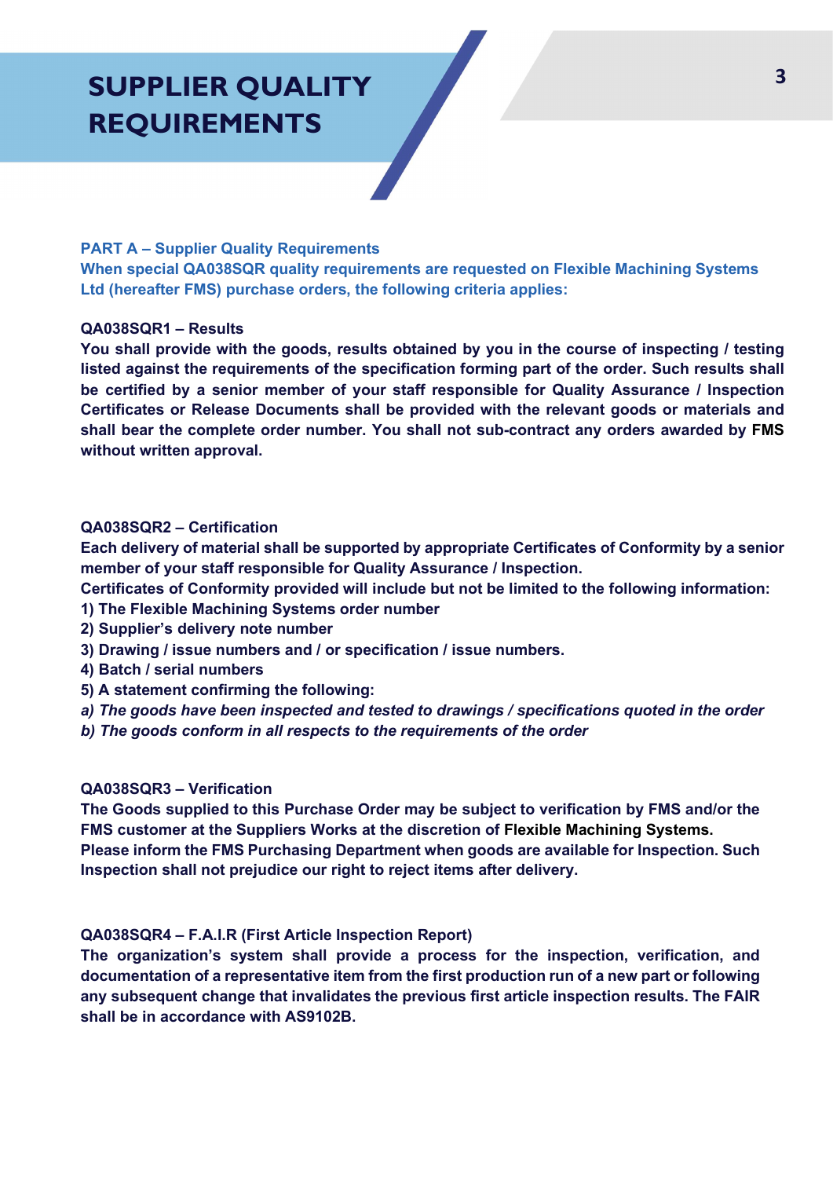## SUPPLIER QUALITY REQUIREMENTS

#### PART A – Supplier Quality Requirements

When special QA038SQR quality requirements are requested on Flexible Machining Systems Ltd (hereafter FMS) purchase orders, the following criteria applies:

#### QA038SQR1 – Results

You shall provide with the goods, results obtained by you in the course of inspecting / testing listed against the requirements of the specification forming part of the order. Such results shall be certified by a senior member of your staff responsible for Quality Assurance / Inspection Certificates or Release Documents shall be provided with the relevant goods or materials and shall bear the complete order number. You shall not sub-contract any orders awarded by FMS without written approval.

#### QA038SQR2 – Certification

Each delivery of material shall be supported by appropriate Certificates of Conformity by a senior member of your staff responsible for Quality Assurance / Inspection.

Certificates of Conformity provided will include but not be limited to the following information:

- 1) The Flexible Machining Systems order number
- 2) Supplier's delivery note number
- 3) Drawing / issue numbers and / or specification / issue numbers.
- 4) Batch / serial numbers
- 5) A statement confirming the following:
- a) The goods have been inspected and tested to drawings / specifications quoted in the order
- b) The goods conform in all respects to the requirements of the order

#### QA038SQR3 – Verification

The Goods supplied to this Purchase Order may be subject to verification by FMS and/or the FMS customer at the Suppliers Works at the discretion of Flexible Machining Systems. Please inform the FMS Purchasing Department when goods are available for Inspection. Such Inspection shall not prejudice our right to reject items after delivery.

#### QA038SQR4 – F.A.I.R (First Article Inspection Report)

The organization's system shall provide a process for the inspection, verification, and documentation of a representative item from the first production run of a new part or following any subsequent change that invalidates the previous first article inspection results. The FAIR shall be in accordance with AS9102B.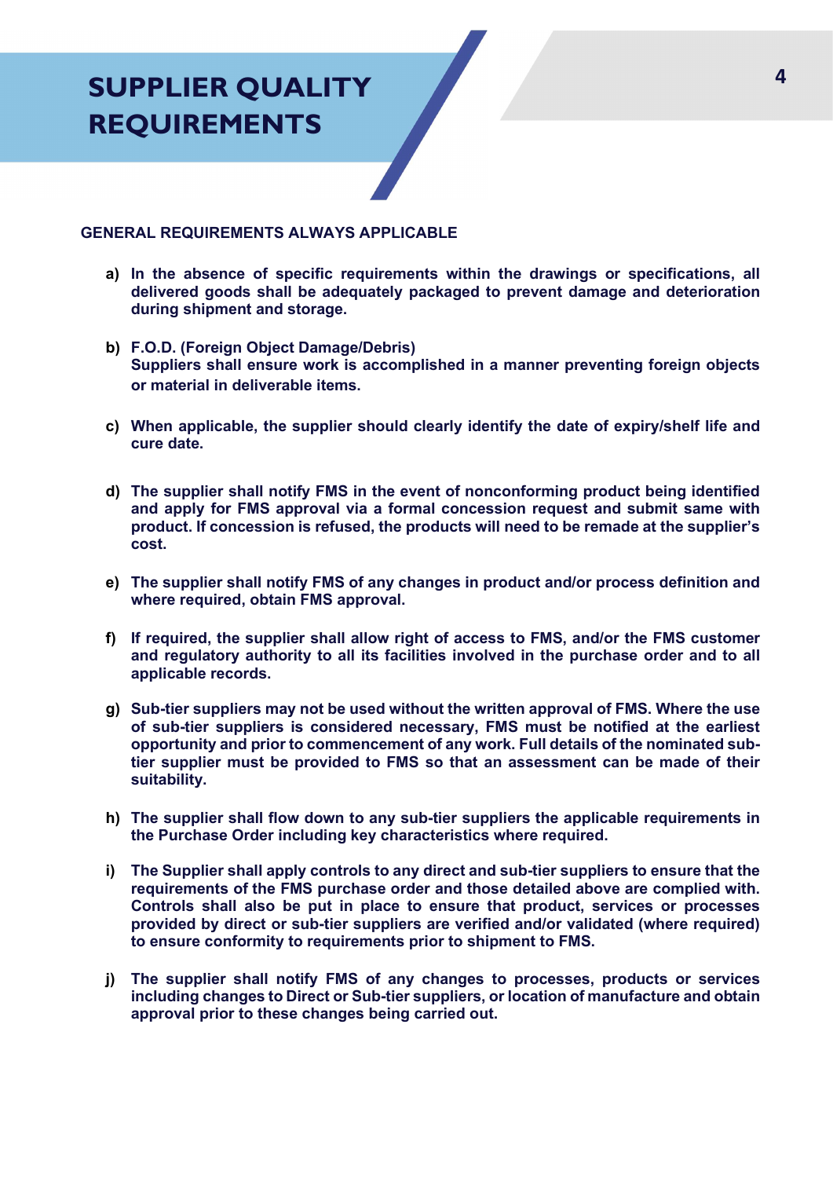### SUPPLIER QUALITY REQUIREMENTS

#### GENERAL REQUIREMENTS ALWAYS APPLICABLE

- a) In the absence of specific requirements within the drawings or specifications, all delivered goods shall be adequately packaged to prevent damage and deterioration during shipment and storage.
- b) F.O.D. (Foreign Object Damage/Debris) Suppliers shall ensure work is accomplished in a manner preventing foreign objects or material in deliverable items.
- c) When applicable, the supplier should clearly identify the date of expiry/shelf life and cure date.
- d) The supplier shall notify FMS in the event of nonconforming product being identified and apply for FMS approval via a formal concession request and submit same with product. If concession is refused, the products will need to be remade at the supplier's cost.
- e) The supplier shall notify FMS of any changes in product and/or process definition and where required, obtain FMS approval.
- f) If required, the supplier shall allow right of access to FMS, and/or the FMS customer and regulatory authority to all its facilities involved in the purchase order and to all applicable records.
- g) Sub-tier suppliers may not be used without the written approval of FMS. Where the use of sub-tier suppliers is considered necessary, FMS must be notified at the earliest opportunity and prior to commencement of any work. Full details of the nominated subtier supplier must be provided to FMS so that an assessment can be made of their suitability.
- h) The supplier shall flow down to any sub-tier suppliers the applicable requirements in the Purchase Order including key characteristics where required.
- i) The Supplier shall apply controls to any direct and sub-tier suppliers to ensure that the requirements of the FMS purchase order and those detailed above are complied with. Controls shall also be put in place to ensure that product, services or processes provided by direct or sub-tier suppliers are verified and/or validated (where required) to ensure conformity to requirements prior to shipment to FMS.
- j) The supplier shall notify FMS of any changes to processes, products or services including changes to Direct or Sub-tier suppliers, or location of manufacture and obtain approval prior to these changes being carried out.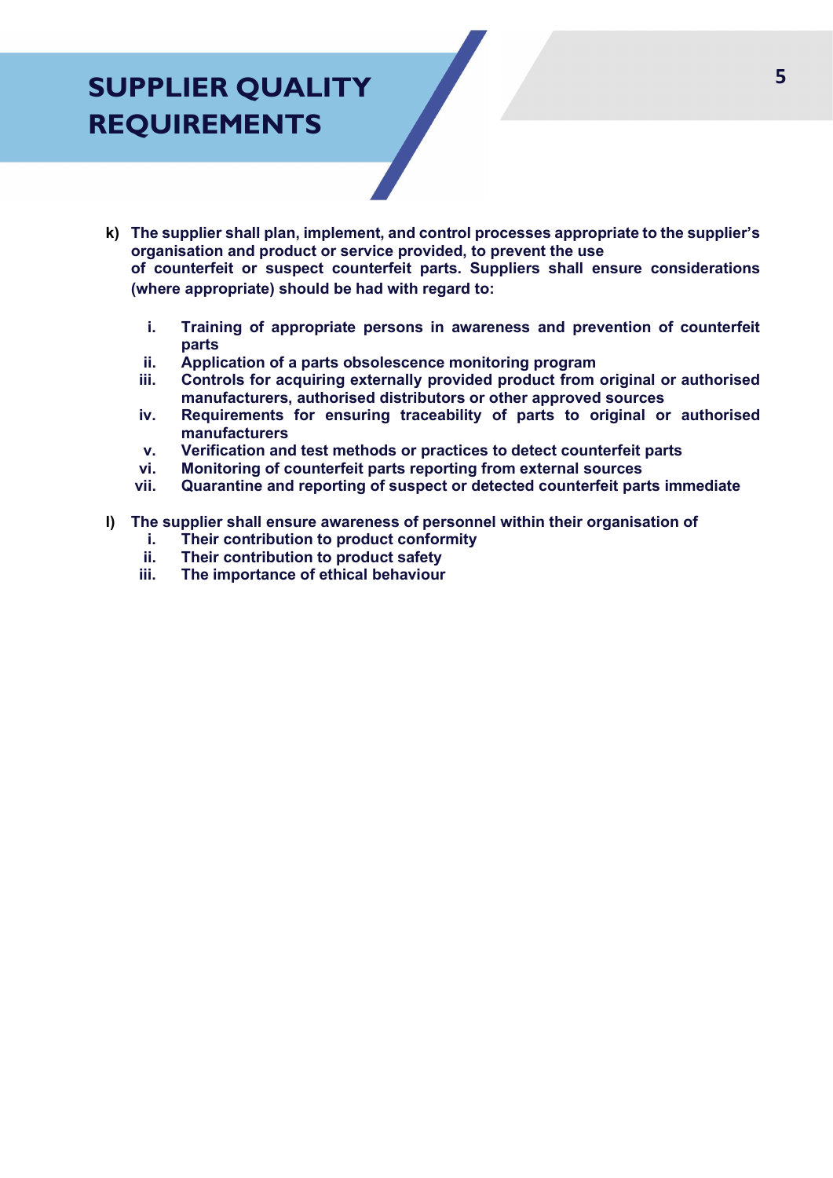### SUPPLIER QUALITY REQUIREMENTS

- k) The supplier shall plan, implement, and control processes appropriate to the supplier's organisation and product or service provided, to prevent the use of counterfeit or suspect counterfeit parts. Suppliers shall ensure considerations (where appropriate) should be had with regard to:
	- i. Training of appropriate persons in awareness and prevention of counterfeit parts
	- ii. Application of a parts obsolescence monitoring program
	- iii. Controls for acquiring externally provided product from original or authorised manufacturers, authorised distributors or other approved sources
	- iv. Requirements for ensuring traceability of parts to original or authorised manufacturers
	- v. Verification and test methods or practices to detect counterfeit parts
	- vi. Monitoring of counterfeit parts reporting from external sources
	- vii. Quarantine and reporting of suspect or detected counterfeit parts immediate
- l) The supplier shall ensure awareness of personnel within their organisation of
	- i. Their contribution to product conformity
	- ii. Their contribution to product safety<br>iii. The importance of ethical behaviour
	- The importance of ethical behaviour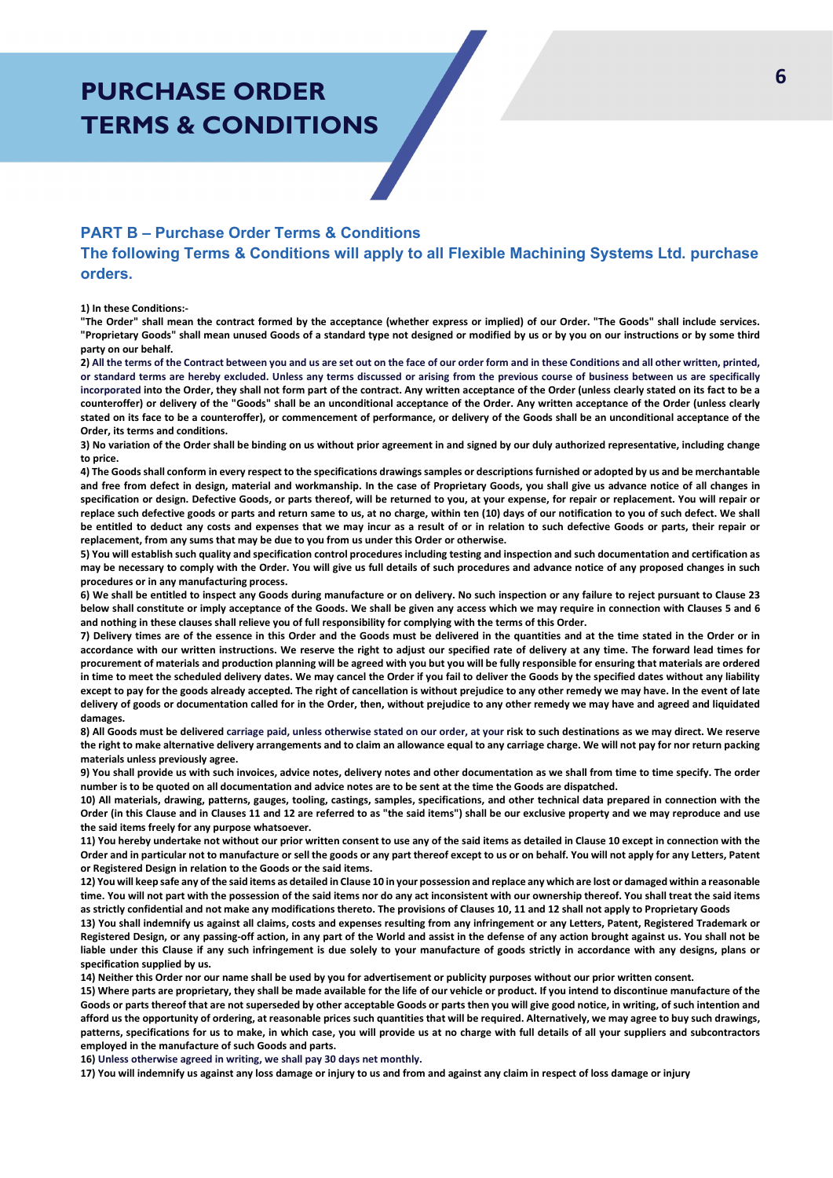### PURCHASE ORDER TERMS & CONDITIONS

#### PART B – Purchase Order Terms & Conditions

The following Terms & Conditions will apply to all Flexible Machining Systems Ltd. purchase orders.

1) In these Conditions:-

"The Order" shall mean the contract formed by the acceptance (whether express or implied) of our Order. "The Goods" shall include services. "Proprietary Goods" shall mean unused Goods of a standard type not designed or modified by us or by you on our instructions or by some third party on our behalf.

2) All the terms of the Contract between you and us are set out on the face of our order form and in these Conditions and all other written, printed, or standard terms are hereby excluded. Unless any terms discussed or arising from the previous course of business between us are specifically incorporated into the Order, they shall not form part of the contract. Any written acceptance of the Order (unless clearly stated on its fact to be a counteroffer) or delivery of the "Goods" shall be an unconditional acceptance of the Order. Any written acceptance of the Order (unless clearly stated on its face to be a counteroffer), or commencement of performance, or delivery of the Goods shall be an unconditional acceptance of the Order, its terms and conditions.

3) No variation of the Order shall be binding on us without prior agreement in and signed by our duly authorized representative, including change to price.

4) The Goods shall conform in every respect to the specifications drawings samples or descriptions furnished or adopted by us and be merchantable and free from defect in design, material and workmanship. In the case of Proprietary Goods, you shall give us advance notice of all changes in specification or design. Defective Goods, or parts thereof, will be returned to you, at your expense, for repair or replacement. You will repair or replace such defective goods or parts and return same to us, at no charge, within ten (10) days of our notification to you of such defect. We shall be entitled to deduct any costs and expenses that we may incur as a result of or in relation to such defective Goods or parts, their repair or replacement, from any sums that may be due to you from us under this Order or otherwise.

5) You will establish such quality and specification control procedures including testing and inspection and such documentation and certification as may be necessary to comply with the Order. You will give us full details of such procedures and advance notice of any proposed changes in such procedures or in any manufacturing process.

6) We shall be entitled to inspect any Goods during manufacture or on delivery. No such inspection or any failure to reject pursuant to Clause 23 below shall constitute or imply acceptance of the Goods. We shall be given any access which we may require in connection with Clauses 5 and 6 and nothing in these clauses shall relieve you of full responsibility for complying with the terms of this Order.

7) Delivery times are of the essence in this Order and the Goods must be delivered in the quantities and at the time stated in the Order or in accordance with our written instructions. We reserve the right to adjust our specified rate of delivery at any time. The forward lead times for procurement of materials and production planning will be agreed with you but you will be fully responsible for ensuring that materials are ordered in time to meet the scheduled delivery dates. We may cancel the Order if you fail to deliver the Goods by the specified dates without any liability except to pay for the goods already accepted. The right of cancellation is without prejudice to any other remedy we may have. In the event of late delivery of goods or documentation called for in the Order, then, without prejudice to any other remedy we may have and agreed and liquidated damages.

8) All Goods must be delivered carriage paid, unless otherwise stated on our order, at your risk to such destinations as we may direct. We reserve the right to make alternative delivery arrangements and to claim an allowance equal to any carriage charge. We will not pay for nor return packing materials unless previously agree.

9) You shall provide us with such invoices, advice notes, delivery notes and other documentation as we shall from time to time specify. The order number is to be quoted on all documentation and advice notes are to be sent at the time the Goods are dispatched.

10) All materials, drawing, patterns, gauges, tooling, castings, samples, specifications, and other technical data prepared in connection with the Order (in this Clause and in Clauses 11 and 12 are referred to as "the said items") shall be our exclusive property and we may reproduce and use the said items freely for any purpose whatsoever.

11) You hereby undertake not without our prior written consent to use any of the said items as detailed in Clause 10 except in connection with the Order and in particular not to manufacture or sell the goods or any part thereof except to us or on behalf. You will not apply for any Letters, Patent or Registered Design in relation to the Goods or the said items.

12) You will keep safe any of the said items as detailed in Clause 10 in your possession and replace any which are lost or damaged within a reasonable time. You will not part with the possession of the said items nor do any act inconsistent with our ownership thereof. You shall treat the said items as strictly confidential and not make any modifications thereto. The provisions of Clauses 10, 11 and 12 shall not apply to Proprietary Goods

13) You shall indemnify us against all claims, costs and expenses resulting from any infringement or any Letters, Patent, Registered Trademark or Registered Design, or any passing-off action, in any part of the World and assist in the defense of any action brought against us. You shall not be liable under this Clause if any such infringement is due solely to your manufacture of goods strictly in accordance with any designs, plans or specification supplied by us.

14) Neither this Order nor our name shall be used by you for advertisement or publicity purposes without our prior written consent.

15) Where parts are proprietary, they shall be made available for the life of our vehicle or product. If you intend to discontinue manufacture of the Goods or parts thereof that are not superseded by other acceptable Goods or parts then you will give good notice, in writing, of such intention and afford us the opportunity of ordering, at reasonable prices such quantities that will be required. Alternatively, we may agree to buy such drawings, patterns, specifications for us to make, in which case, you will provide us at no charge with full details of all your suppliers and subcontractors employed in the manufacture of such Goods and parts.

16) Unless otherwise agreed in writing, we shall pay 30 days net monthly.

17) You will indemnify us against any loss damage or injury to us and from and against any claim in respect of loss damage or injury